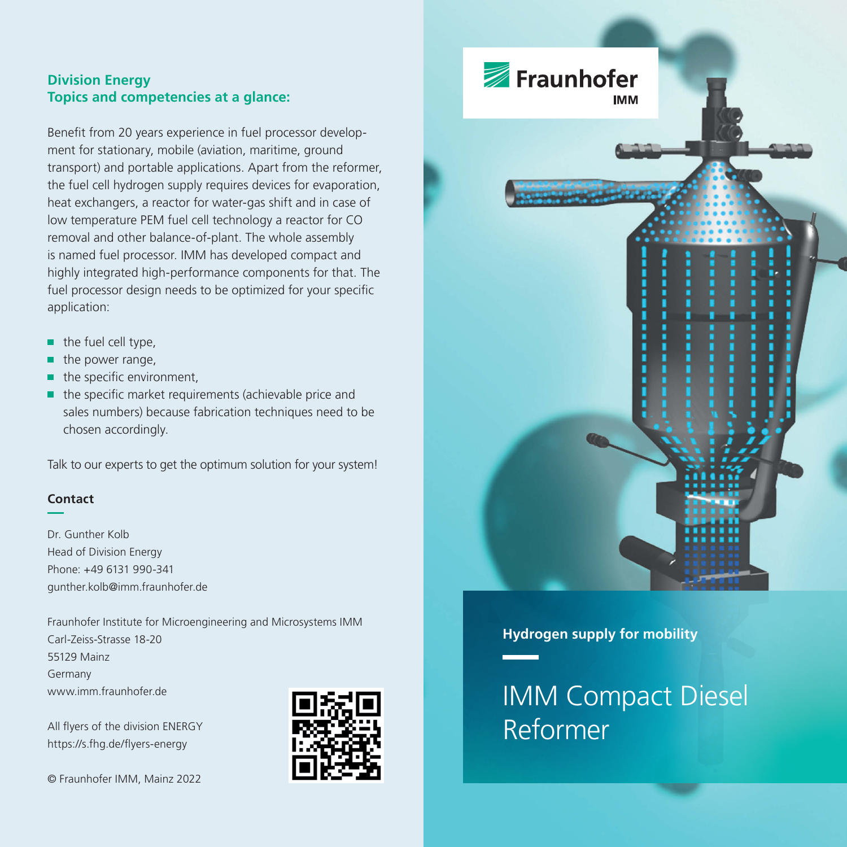## **Division Energy Topics and competencies at a glance:**

Benefit from 20 years experience in fuel processor development for stationary, mobile (aviation, maritime, ground transport) and portable applications. Apart from the reformer, the fuel cell hydrogen supply requires devices for evaporation, heat exchangers, a reactor for water-gas shift and in case of low temperature PEM fuel cell technology a reactor for CO removal and other balance-of-plant. The whole assembly is named fuel processor. IMM has developed compact and highly integrated high-performance components for that. The fuel processor design needs to be optimized for your specific application:

- the fuel cell type, n,
- the power range, п
- × the specific environment,
- ×, the specific market requirements (achievable price and sales numbers) because fabrication techniques need to be chosen accordingly.

Talk to our experts to get the optimum solution for your system!

### **Contact**

Dr. Gunther Kolb Head of Division Energy Phone: +49 6131 990-341 gunther.kolb@imm.fraunhofer.de

Fraunhofer Institute for Microengineering and Microsystems IMM Carl-Zeiss-Strasse 18-20 55129 Mainz Germany www.imm.fraunhofer.de

All flyers of the division ENERGY https://s.fhg.de/flyers-energy

© Fraunhofer IMM, Mainz 2022





## **Hydrogen supply for mobility**

IMM Compact Diesel Reformer